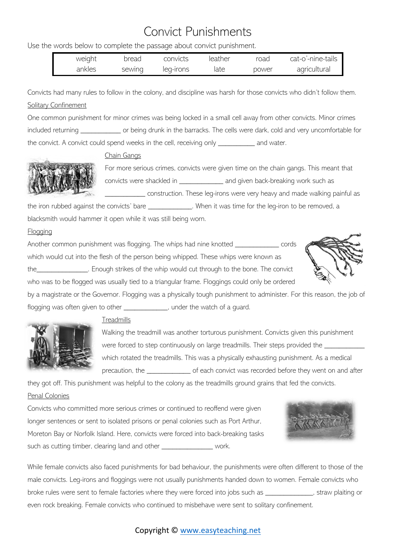## Convict Punishments

Use the words below to complete the passage about convict punishment.

| weight | bread  | convicts  | leather | road  | cat-o'-nine-tails |
|--------|--------|-----------|---------|-------|-------------------|
| ankles | sewing | leg-irons | iate    | power | agricultural      |

Convicts had many rules to follow in the colony, and discipline was harsh for those convicts who didn't follow them. Solitary Confinement

One common punishment for minor crimes was being locked in a small cell away from other convicts. Minor crimes included returning \_\_\_\_\_\_\_\_\_\_\_ or being drunk in the barracks. The cells were dark, cold and very uncomfortable for the convict. A convict could spend weeks in the cell, receiving only example and water.

# Chain Gangs

For more serious crimes, convicts were given time on the chain gangs. This meant that convicts were shackled in \_\_\_\_\_\_\_\_\_\_\_\_ and given back-breaking work such as

construction. These leg-irons were very heavy and made walking painful as

the iron rubbed against the convicts' bare \_\_\_\_\_\_\_\_\_\_\_\_\_. When it was time for the leg-iron to be removed, a blacksmith would hammer it open while it was still being worn.

### **Flogging**

Another common punishment was flogging. The whips had nine knotted \_\_\_\_\_\_\_\_\_\_\_\_\_ cords which would cut into the flesh of the person being whipped. These whips were known as the\_\_\_\_\_\_\_\_\_\_\_\_\_\_. Enough strikes of the whip would cut through to the bone. The convict who was to be flogged was usually tied to a triangular frame. Floggings could only be ordered



by a magistrate or the Governor. Flogging was a physically tough punishment to administer. For this reason, the job of flogging was often given to other \_\_\_\_\_\_\_\_\_\_\_\_\_, under the watch of a guard.



### **Treadmills**

Walking the treadmill was another torturous punishment. Convicts given this punishment were forced to step continuously on large treadmills. Their steps provided the which rotated the treadmills. This was a physically exhausting punishment. As a medical precaution, the \_\_\_\_\_\_\_\_\_\_\_\_ of each convict was recorded before they went on and after

they got off. This punishment was helpful to the colony as the treadmills ground grains that fed the convicts.

### Penal Colonies

Convicts who committed more serious crimes or continued to reoffend were given longer sentences or sent to isolated prisons or penal colonies such as Port Arthur, Moreton Bay or Norfolk Island. Here, convicts were forced into back-breaking tasks such as cutting timber, clearing land and other \_\_\_\_\_\_\_\_\_\_\_\_\_\_\_\_\_\_ work.



While female convicts also faced punishments for bad behaviour, the punishments were often different to those of the male convicts. Leg-irons and floggings were not usually punishments handed down to women. Female convicts who broke rules were sent to female factories where they were forced into jobs such as \_\_\_\_\_\_\_\_\_\_\_\_\_, straw plaiting or even rock breaking. Female convicts who continued to misbehave were sent to solitary confinement.

### Copyright © [www.easyteaching.net](http://www.easyteaching.net/)